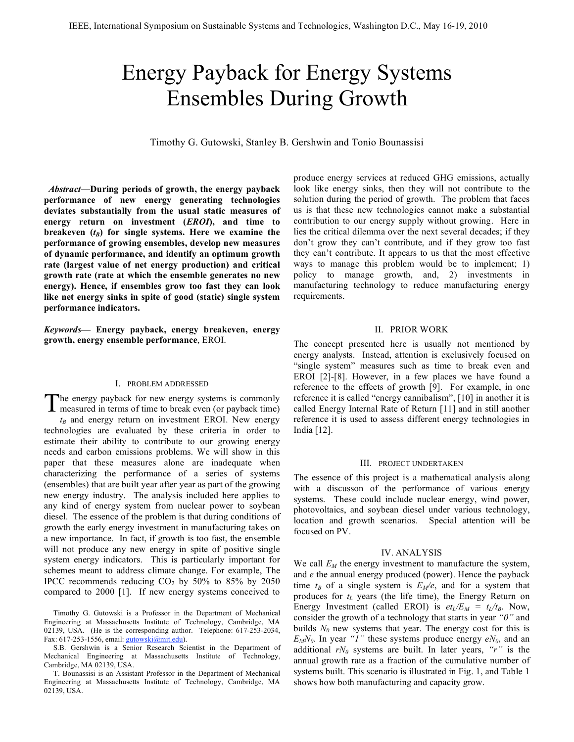# Energy Payback for Energy Systems Ensembles During Growth

Timothy G. Gutowski, Stanley B. Gershwin and Tonio Bounassisi

 *Abstract*—**During periods of growth, the energy payback performance of new energy generating technologies deviates substantially from the usual static measures of energy return on investment (***EROI***), and time to**  breakeven  $(t_B)$  for single systems. Here we examine the **performance of growing ensembles, develop new measures of dynamic performance, and identify an optimum growth rate (largest value of net energy production) and critical growth rate (rate at which the ensemble generates no new energy). Hence, if ensembles grow too fast they can look like net energy sinks in spite of good (static) single system performance indicators.**

*Keywords***— Energy payback, energy breakeven, energy growth, energy ensemble performance**, EROI.

#### I. PROBLEM ADDRESSED

he energy payback for new energy systems is commonly The energy payback for new energy systems is commonly measured in terms of time to break even (or payback time)  $t_B$  and energy return on investment EROI. New energy technologies are evaluated by these criteria in order to estimate their ability to contribute to our growing energy needs and carbon emissions problems. We will show in this paper that these measures alone are inadequate when characterizing the performance of a series of systems (ensembles) that are built year after year as part of the growing new energy industry. The analysis included here applies to any kind of energy system from nuclear power to soybean diesel. The essence of the problem is that during conditions of growth the early energy investment in manufacturing takes on a new importance. In fact, if growth is too fast, the ensemble will not produce any new energy in spite of positive single system energy indicators. This is particularly important for schemes meant to address climate change. For example, The IPCC recommends reducing  $CO<sub>2</sub>$  by 50% to 85% by 2050 compared to 2000 [1]. If new energy systems conceived to

Timothy G. Gutowski is a Professor in the Department of Mechanical Engineering at Massachusetts Institute of Technology, Cambridge, MA 02139, USA. (He is the corresponding author. Telephone: 617-253-2034, Fax: 617-253-1556, email: *gutowski@mit.edu*).

S.B. Gershwin is a Senior Research Scientist in the Department of Mechanical Engineering at Massachusetts Institute of Technology, Cambridge, MA 02139, USA.

T. Bounassisi is an Assistant Professor in the Department of Mechanical Engineering at Massachusetts Institute of Technology, Cambridge, MA 02139, USA.

produce energy services at reduced GHG emissions, actually look like energy sinks, then they will not contribute to the solution during the period of growth. The problem that faces us is that these new technologies cannot make a substantial contribution to our energy supply without growing. Here in lies the critical dilemma over the next several decades; if they don't grow they can't contribute, and if they grow too fast they can't contribute. It appears to us that the most effective ways to manage this problem would be to implement; 1) policy to manage growth, and, 2) investments in manufacturing technology to reduce manufacturing energy requirements.

## II. PRIOR WORK

The concept presented here is usually not mentioned by energy analysts. Instead, attention is exclusively focused on "single system" measures such as time to break even and EROI [2]-[8]. However, in a few places we have found a reference to the effects of growth [9]. For example, in one reference it is called "energy cannibalism", [10] in another it is called Energy Internal Rate of Return [11] and in still another reference it is used to assess different energy technologies in India [12].

## III. PROJECT UNDERTAKEN

The essence of this project is a mathematical analysis along with a discusson of the performance of various energy systems. These could include nuclear energy, wind power, photovoltaics, and soybean diesel under various technology, location and growth scenarios. Special attention will be focused on PV.

#### IV. ANALYSIS

We call  $E_M$  the energy investment to manufacture the system, and *e* the annual energy produced (power). Hence the payback time  $t_B$  of a single system is  $E_M/e$ , and for a system that produces for  $t_L$  years (the life time), the Energy Return on Energy Investment (called EROI) is  $et_L/E_M = t_L/t_B$ . Now, consider the growth of a technology that starts in year *"0"* and builds  $N_0$  new systems that year. The energy cost for this is  $E_MN_0$ . In year "*I*" these systems produce energy  $eN_0$ , and an additional  $rN_0$  systems are built. In later years, " $r$ " is the annual growth rate as a fraction of the cumulative number of systems built. This scenario is illustrated in Fig. 1, and Table 1 shows how both manufacturing and capacity grow.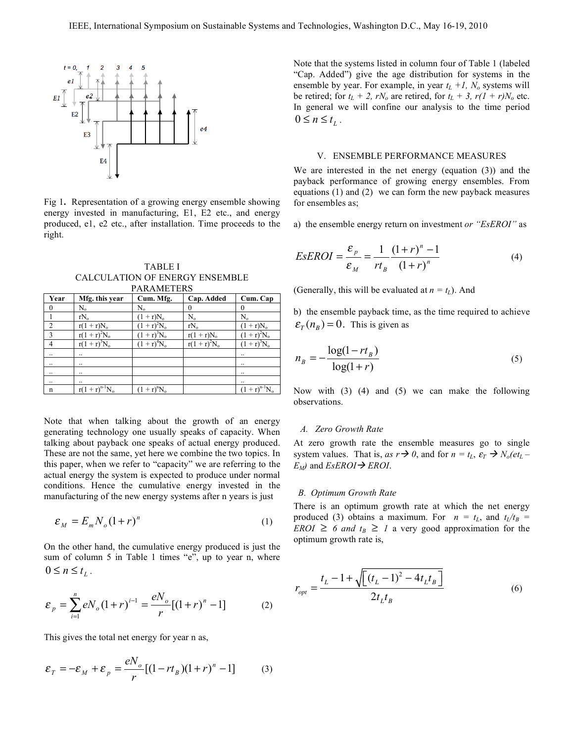

Fig 1**.** Representation of a growing energy ensemble showing energy invested in manufacturing, E1, E2 etc., and energy produced, e1, e2 etc., after installation. Time proceeds to the right.

TABLE I CALCULATION OF ENERGY ENSEMBLE PARAMETERS

| Year           | Mfg. this year      | Cum. Mfg.       | Cap. Added          | Cum. Cap             |
|----------------|---------------------|-----------------|---------------------|----------------------|
| $\theta$       | $\rm N_{o}$         | $N_{o}$         | $\Omega$            |                      |
|                | rN <sub>o</sub>     | $+ r)N_0$       | $N_{\alpha}$        | N。                   |
| $\overline{c}$ | $r(1 + r)N_0$       | $+ r2No$        | $rN_{\rm o}$        | $(1 + r)N_0$         |
| -3             | $r(1 + r)^2N_0$     | $(1 + r)^3 N_0$ | $r(1 + r)N_0$       | $(1 + r)^{2}N_{0}$   |
| 4              | $r(1 + r)^{3}N_{o}$ | $(1 + r)^4 N_0$ | $r(1 + r)^{2}N_{o}$ | $(1 + r)^3 N_0$      |
|                |                     |                 |                     |                      |
|                |                     |                 |                     |                      |
|                |                     |                 |                     |                      |
| $\ddotsc$      |                     |                 |                     | $\ddot{\phantom{0}}$ |
| $\mathbf n$    | $r(1 + r)^{n-1}N$ . | $(1 + r)^n N_0$ |                     | $\sqrt{n-1}N_0$      |

Note that when talking about the growth of an energy generating technology one usually speaks of capacity. When talking about payback one speaks of actual energy produced. These are not the same, yet here we combine the two topics. In this paper, when we refer to "capacity" we are referring to the actual energy the system is expected to produce under normal conditions. Hence the cumulative energy invested in the manufacturing of the new energy systems after n years is just

$$
\varepsilon_M = E_m N_o (1+r)^n \tag{1}
$$

On the other hand, the cumulative energy produced is just the sum of column 5 in Table 1 times "e", up to year n, where *O* ≤ *n* ≤  $t_L$ .

$$
\varepsilon_p = \sum_{i=1}^n eN_o (1+r)^{i-1} = \frac{eN_o}{r} [(1+r)^n - 1]
$$
 (2)

This gives the total net energy for year n as,

$$
\varepsilon_T = -\varepsilon_M + \varepsilon_p = \frac{eN_o}{r} [(1 - rt_B)(1 + r)^n - 1] \tag{3}
$$

Note that the systems listed in column four of Table 1 (labeled "Cap. Added") give the age distribution for systems in the ensemble by year. For example, in year  $t_L + I$ ,  $N_o$  systems will be retired; for  $t_L + 2$ ,  $rN_o$  are retired, for  $t_L + 3$ ,  $r(1 + r)N_o$  etc. In general we will confine our analysis to the time period  $0 \leq n \leq t_L$ .

### V. ENSEMBLE PERFORMANCE MEASURES

We are interested in the net energy (equation (3)) and the payback performance of growing energy ensembles. From equations (1) and (2) we can form the new payback measures for ensembles as;

a) the ensemble energy return on investment *or "EsEROI"* as

$$
EsEROI = \frac{\varepsilon_p}{\varepsilon_M} = \frac{1}{rt_B} \frac{(1+r)^n - 1}{(1+r)^n}
$$
(4)

(Generally, this will be evaluated at  $n = t_L$ ). And

b) the ensemble payback time, as the time required to achieve  $\mathcal{E}_T(n_B) = 0$ . This is given as

$$
n_B = -\frac{\log(1 - rt_B)}{\log(1 + r)}\tag{5}
$$

Now with (3) (4) and (5) we can make the following observations.

#### *A. Zero Growth Rate*

At zero growth rate the ensemble measures go to single system values. That is,  $as r \rightarrow 0$ , and for  $n = t_L$ ,  $\varepsilon_T \rightarrow N_o (et_L E_M$ ) and  $E$ *sEROI*  $\rightarrow$  *EROI*.

### *B. Optimum Growth Rate*

There is an optimum growth rate at which the net energy produced (3) obtains a maximum. For  $n = t_L$ , and  $t_L/t_B$  = *EROI*  $\geq$  6 *and t<sub>B</sub>*  $\geq$  *1* a very good approximation for the optimum growth rate is,

$$
r_{opt} = \frac{t_L - 1 + \sqrt{\left[ (t_L - 1)^2 - 4t_L t_B \right]}}{2t_L t_B}
$$
(6)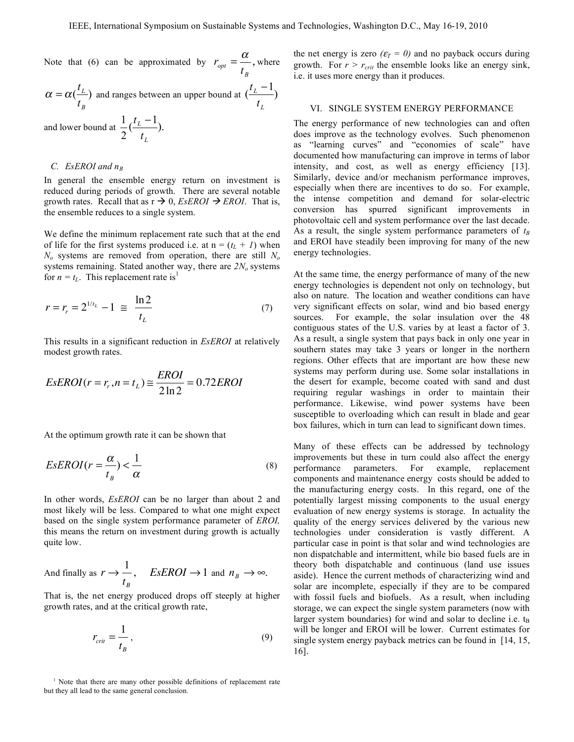Note that (6) can be approximated by  $r_{\text{opt}} = \frac{a}{n}$ ,  $r_{opt} = \frac{\alpha}{t_B}$ , where

$$
\alpha = \alpha(\frac{t_L}{t_B})
$$
 and ranges between an upper bound at  $(\frac{t_L - 1}{t_L})$ 

and lower bound at  $\frac{1}{2} (\frac{t_L - 1}{2})$ . 2 1 *L L t*  $t_L$  –

# *C. EsEROI* and  $n_B$

In general the ensemble energy return on investment is reduced during periods of growth. There are several notable growth rates. Recall that as  $r \rightarrow 0$ , *EsEROI*  $\rightarrow$  *EROI*. That is, the ensemble reduces to a single system.

We define the minimum replacement rate such that at the end of life for the first systems produced i.e. at  $n = (t_L + I)$  when *No* systems are removed from operation, there are still *No* systems remaining. Stated another way, there are  $2N<sub>o</sub>$  systems for  $n = t_L$ . This replacement rate is<sup>1</sup>

$$
r = r_r = 2^{1/t_L} - 1 \approx \frac{\ln 2}{t_L}
$$
 (7)

This results in a significant reduction in *EsEROI* at relatively modest growth rates.

$$
EsEROI(r = r_r, n = t_L) \approx \frac{EROI}{2\ln 2} = 0.72EROI
$$

At the optimum growth rate it can be shown that

$$
ESEROI(r = \frac{\alpha}{t_B}) < \frac{1}{\alpha} \tag{8}
$$

In other words, *EsEROI* can be no larger than about 2 and most likely will be less. Compared to what one might expect based on the single system performance parameter of *EROI,* this means the return on investment during growth is actually quite low.

And finally as 
$$
r \to \frac{1}{t_B}
$$
,  $EsEROI \to 1$  and  $n_B \to \infty$ .

That is, the net energy produced drops off steeply at higher growth rates, and at the critical growth rate,

$$
r_{crit} = \frac{1}{t_B},\tag{9}
$$

<sup>1</sup> Note that there are many other possible definitions of replacement rate but they all lead to the same general conclusion.

the net energy is zero  $(\epsilon_T = 0)$  and no payback occurs during growth. For  $r > r_{crit}$  the ensemble looks like an energy sink, i.e. it uses more energy than it produces.

## VI. SINGLE SYSTEM ENERGY PERFORMANCE

The energy performance of new technologies can and often does improve as the technology evolves. Such phenomenon as "learning curves" and "economies of scale" have documented how manufacturing can improve in terms of labor intensity, and cost, as well as energy efficiency [13]. Similarly, device and/or mechanism performance improves, especially when there are incentives to do so. For example, the intense competition and demand for solar-electric conversion has spurred significant improvements in photovoltaic cell and system performance over the last decade. As a result, the single system performance parameters of  $t_B$ and EROI have steadily been improving for many of the new energy technologies.

At the same time, the energy performance of many of the new energy technologies is dependent not only on technology, but also on nature. The location and weather conditions can have very significant effects on solar, wind and bio based energy sources. For example, the solar insulation over the 48 contiguous states of the U.S. varies by at least a factor of 3. As a result, a single system that pays back in only one year in southern states may take 3 years or longer in the northern regions. Other effects that are important are how these new systems may perform during use. Some solar installations in the desert for example, become coated with sand and dust requiring regular washings in order to maintain their performance. Likewise, wind power systems have been susceptible to overloading which can result in blade and gear box failures, which in turn can lead to significant down times.

Many of these effects can be addressed by technology improvements but these in turn could also affect the energy performance parameters. For example, replacement components and maintenance energy costs should be added to the manufacturing energy costs. In this regard, one of the potentially largest missing components to the usual energy evaluation of new energy systems is storage. In actuality the quality of the energy services delivered by the various new technologies under consideration is vastly different. A particular case in point is that solar and wind technologies are non dispatchable and intermittent, while bio based fuels are in theory both dispatchable and continuous (land use issues aside). Hence the current methods of characterizing wind and solar are incomplete, especially if they are to be compared with fossil fuels and biofuels. As a result, when including storage, we can expect the single system parameters (now with larger system boundaries) for wind and solar to decline i.e.  $t_B$ will be longer and EROI will be lower. Current estimates for single system energy payback metrics can be found in [14, 15, 16].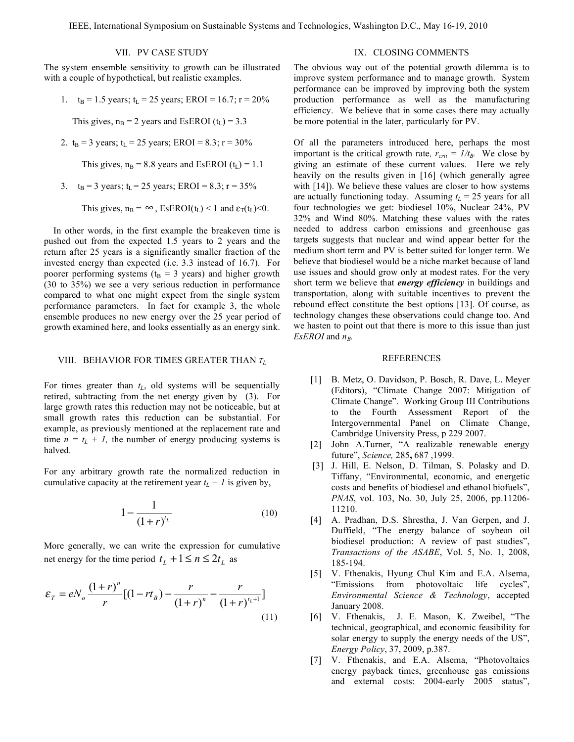# VII. PV CASE STUDY

The system ensemble sensitivity to growth can be illustrated with a couple of hypothetical, but realistic examples.

1.  $t_B = 1.5$  years;  $t_L = 25$  years; EROI = 16.7; r = 20%

This gives,  $n_B = 2$  years and EsEROI ( $t_L$ ) = 3.3

2.  $t_B = 3$  years;  $t_L = 25$  years; EROI = 8.3; r = 30%

This gives,  $n_B = 8.8$  years and EsEROI ( $t_L$ ) = 1.1

3.  $t_B = 3$  years;  $t_L = 25$  years; EROI = 8.3; r = 35%

This gives,  $n_B = \infty$ , EsEROI(t<sub>L</sub>) < 1 and  $\varepsilon_T(t_L)$  < 0.

In other words, in the first example the breakeven time is pushed out from the expected 1.5 years to 2 years and the return after 25 years is a significantly smaller fraction of the invested energy than expected (i.e. 3.3 instead of 16.7). For poorer performing systems ( $t_B = 3$  years) and higher growth (30 to 35%) we see a very serious reduction in performance compared to what one might expect from the single system performance parameters. In fact for example 3, the whole ensemble produces no new energy over the 25 year period of growth examined here, and looks essentially as an energy sink.

## VIII. BEHAVIOR FOR TIMES GREATER THAN *TL*

For times greater than  $t_L$ , old systems will be sequentially retired, subtracting from the net energy given by (3). For large growth rates this reduction may not be noticeable, but at small growth rates this reduction can be substantial. For example, as previously mentioned at the replacement rate and time  $n = t_L + 1$ , the number of energy producing systems is halved.

For any arbitrary growth rate the normalized reduction in cumulative capacity at the retirement year  $t_L + I$  is given by,

$$
1 - \frac{1}{(1+r)^{t_L}}\tag{10}
$$

More generally, we can write the expression for cumulative net energy for the time period  $t_L + 1 \le n \le 2t_L$  as

$$
\varepsilon_{T} = eN_{o} \frac{(1+r)^{n}}{r} [(1-rt_{B}) - \frac{r}{(1+r)^{n}} - \frac{r}{(1+r)^{t_{L}+1}}]
$$
\n(11)

# IX. CLOSING COMMENTS

The obvious way out of the potential growth dilemma is to improve system performance and to manage growth. System performance can be improved by improving both the system production performance as well as the manufacturing efficiency. We believe that in some cases there may actually be more potential in the later, particularly for PV.

Of all the parameters introduced here, perhaps the most important is the critical growth rate,  $r_{crit} = 1/t_B$ . We close by giving an estimate of these current values. Here we rely heavily on the results given in [16] (which generally agree with [14]). We believe these values are closer to how systems are actually functioning today. Assuming  $t_L = 25$  years for all four technologies we get: biodiesel 10%, Nuclear 24%, PV 32% and Wind 80%. Matching these values with the rates needed to address carbon emissions and greenhouse gas targets suggests that nuclear and wind appear better for the medium short term and PV is better suited for longer term. We believe that biodiesel would be a niche market because of land use issues and should grow only at modest rates. For the very short term we believe that *energy efficiency* in buildings and transportation, along with suitable incentives to prevent the rebound effect constitute the best options [13]. Of course, as technology changes these observations could change too. And we hasten to point out that there is more to this issue than just *EsEROI* and  $n_B$ .

#### REFERENCES

- [1] B. Metz, O. Davidson, P. Bosch, R. Dave, L. Meyer (Editors), "Climate Change 2007: Mitigation of Climate Change". Working Group III Contributions to the Fourth Assessment Report of the Intergovernmental Panel on Climate Change, Cambridge University Press, p 229 2007.
- [2] John A.Turner, "A realizable renewable energy future", *Science,* 285**,** 687 ,1999.
- [3] J. Hill, E. Nelson, D. Tilman, S. Polasky and D. Tiffany, "Environmental, economic, and energetic costs and benefits of biodiesel and ethanol biofuels", *PNAS*, vol. 103, No. 30, July 25, 2006, pp.11206- 11210.
- [4] A. Pradhan, D.S. Shrestha, J. Van Gerpen, and J. Duffield, "The energy balance of soybean oil biodiesel production: A review of past studies", *Transactions of the ASABE*, Vol. 5, No. 1, 2008, 185-194.
- [5] V. Fthenakis, Hyung Chul Kim and E.A. Alsema, "Emissions from photovoltaic life cycles", *Environmental Science & Technology*, accepted January 2008.
- [6] V. Fthenakis, J. E. Mason, K. Zweibel, "The technical, geographical, and economic feasibility for solar energy to supply the energy needs of the US", *Energy Policy*, 37, 2009, p.387.
- [7] V. Fthenakis, and E.A. Alsema, "Photovoltaics energy payback times, greenhouse gas emissions and external costs: 2004-early 2005 status",